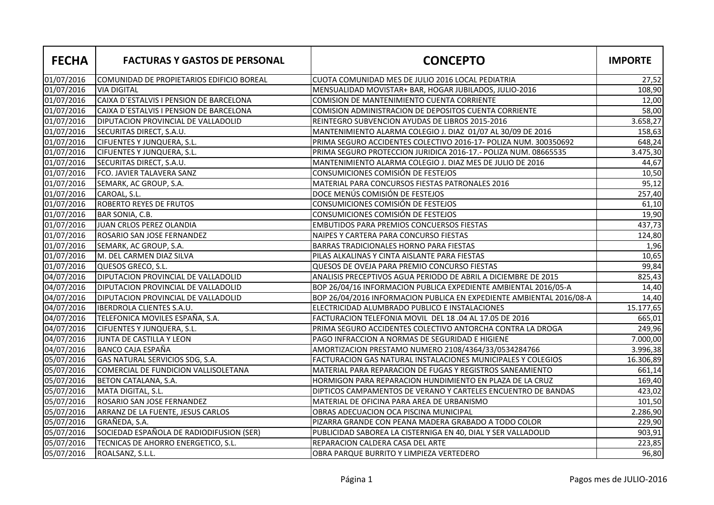| <b>FECHA</b> | <b>FACTURAS Y GASTOS DE PERSONAL</b>       | <b>CONCEPTO</b>                                                      | <b>IMPORTE</b> |
|--------------|--------------------------------------------|----------------------------------------------------------------------|----------------|
| 01/07/2016   | COMUNIDAD DE PROPIETARIOS EDIFICIO BOREAL  | CUOTA COMUNIDAD MES DE JULIO 2016 LOCAL PEDIATRIA                    | 27,52          |
| 01/07/2016   | <b>VIA DIGITAL</b>                         | MENSUALIDAD MOVISTAR+ BAR, HOGAR JUBILADOS, JULIO-2016               | 108,90         |
| 01/07/2016   | CAIXA D'ESTALVIS I PENSION DE BARCELONA    | COMISION DE MANTENIMIENTO CUENTA CORRIENTE                           | 12,00          |
| 01/07/2016   | CAIXA D'ESTALVIS I PENSION DE BARCELONA    | <b>COMISION ADMINISTRACION DE DEPOSITOS CUENTA CORRIENTE</b>         | 58,00          |
| 01/07/2016   | <b>DIPUTACION PROVINCIAL DE VALLADOLID</b> | REINTEGRO SUBVENCION AYUDAS DE LIBROS 2015-2016                      | 3.658,27       |
| 01/07/2016   | SECURITAS DIRECT, S.A.U.                   | MANTENIMIENTO ALARMA COLEGIO J. DIAZ 01/07 AL 30/09 DE 2016          | 158,63         |
| 01/07/2016   | <b>CIFUENTES Y JUNQUERA, S.L.</b>          | PRIMA SEGURO ACCIDENTES COLECTIVO 2016-17- POLIZA NUM. 300350692     | 648,24         |
| 01/07/2016   | <b>CIFUENTES Y JUNQUERA, S.L.</b>          | PRIMA SEGURO PROTECCION JURIDICA 2016-17.- POLIZA NUM. 08665535      | 3.475,30       |
| 01/07/2016   | <b>SECURITAS DIRECT, S.A.U.</b>            | MANTENIMIENTO ALARMA COLEGIO J. DIAZ MES DE JULIO DE 2016            | 44,67          |
| 01/07/2016   | FCO. JAVIER TALAVERA SANZ                  | CONSUMICIONES COMISIÓN DE FESTEJOS                                   | 10,50          |
| 01/07/2016   | SEMARK, AC GROUP, S.A.                     | MATERIAL PARA CONCURSOS FIESTAS PATRONALES 2016                      | 95,12          |
| 01/07/2016   | CAROAL, S.L.                               | DOCE MENÚS COMISIÓN DE FESTEJOS                                      | 257,40         |
| 01/07/2016   | <b>ROBERTO REYES DE FRUTOS</b>             | CONSUMICIONES COMISIÓN DE FESTEJOS                                   | 61,10          |
| 01/07/2016   | BAR SONIA, C.B.                            | CONSUMICIONES COMISIÓN DE FESTEJOS                                   | 19,90          |
| 01/07/2016   | JUAN CRLOS PEREZ OLANDIA                   | <b>EMBUTIDOS PARA PREMIOS CONCUERSOS FIESTAS</b>                     | 437,73         |
| 01/07/2016   | ROSARIO SAN JOSE FERNANDEZ                 | NAIPES Y CARTERA PARA CONCURSO FIESTAS                               | 124,80         |
| 01/07/2016   | SEMARK, AC GROUP, S.A.                     | <b>BARRAS TRADICIONALES HORNO PARA FIESTAS</b>                       | 1,96           |
| 01/07/2016   | M. DEL CARMEN DIAZ SILVA                   | PILAS ALKALINAS Y CINTA AISLANTE PARA FIESTAS                        | 10,65          |
| 01/07/2016   | QUESOS GRECO, S.L.                         | QUESOS DE OVEJA PARA PREMIO CONCURSO FIESTAS                         | 99,84          |
| 04/07/2016   | <b>DIPUTACION PROVINCIAL DE VALLADOLID</b> | ANALISIS PRECEPTIVOS AGUA PERIODO DE ABRIL A DICIEMBRE DE 2015       | 825,43         |
| 04/07/2016   | <b>DIPUTACION PROVINCIAL DE VALLADOLID</b> | BOP 26/04/16 INFORMACION PUBLICA EXPEDIENTE AMBIENTAL 2016/05-A      | 14,40          |
| 04/07/2016   | DIPUTACION PROVINCIAL DE VALLADOLID        | BOP 26/04/2016 INFORMACION PUBLICA EN EXPEDIENTE AMBIENTAL 2016/08-A | 14,40          |
| 04/07/2016   | <b>IBERDROLA CLIENTES S.A.U.</b>           | ELECTRICIDAD ALUMBRADO PUBLICO E INSTALACIONES                       | 15.177,65      |
| 04/07/2016   | TELEFONICA MOVILES ESPAÑA, S.A.            | FACTURACION TELEFONIA MOVIL DEL 18 .04 AL 17.05 DE 2016              | 665,01         |
| 04/07/2016   | <b>CIFUENTES Y JUNQUERA, S.L.</b>          | PRIMA SEGURO ACCIDENTES COLECTIVO ANTORCHA CONTRA LA DROGA           | 249,96         |
| 04/07/2016   | JUNTA DE CASTILLA Y LEON                   | PAGO INFRACCION A NORMAS DE SEGURIDAD E HIGIENE                      | 7.000,00       |
| 04/07/2016   | BANCO CAJA ESPAÑA                          | AMORTIZACION PRESTAMO NUMERO 2108/4364/33/0534284766                 | 3.996,38       |
| 05/07/2016   | GAS NATURAL SERVICIOS SDG, S.A.            | FACTURACION GAS NATURAL INSTALACIONES MUNICIPALES Y COLEGIOS         | 16.306,89      |
| 05/07/2016   | COMERCIAL DE FUNDICION VALLISOLETANA       | MATERIAL PARA REPARACION DE FUGAS Y REGISTROS SANEAMIENTO            | 661,14         |
| 05/07/2016   | BETON CATALANA, S.A.                       | HORMIGON PARA REPARACION HUNDIMIENTO EN PLAZA DE LA CRUZ             | 169,40         |
| 05/07/2016   | MATA DIGITAL, S.L.                         | DIPTICOS CAMPAMENTOS DE VERANO Y CARTELES ENCUENTRO DE BANDAS        | 423,02         |
| 05/07/2016   | ROSARIO SAN JOSE FERNANDEZ                 | MATERIAL DE OFICINA PARA AREA DE URBANISMO                           | 101,50         |
| 05/07/2016   | ARRANZ DE LA FUENTE, JESUS CARLOS          | OBRAS ADECUACION OCA PISCINA MUNICIPAL                               | 2.286,90       |
| 05/07/2016   | GRAÑEDA, S.A.                              | PIZARRA GRANDE CON PEANA MADERA GRABADO A TODO COLOR                 | 229,90         |
| 05/07/2016   | SOCIEDAD ESPAÑOLA DE RADIODIFUSION (SER)   | PUBLICIDAD SABOREA LA CISTERNIGA EN 40, DIAL Y SER VALLADOLID        | 903,91         |
| 05/07/2016   | TECNICAS DE AHORRO ENERGETICO, S.L.        | REPARACION CALDERA CASA DEL ARTE                                     | 223,85         |
| 05/07/2016   | ROALSANZ, S.L.L.                           | OBRA PARQUE BURRITO Y LIMPIEZA VERTEDERO                             | 96,80          |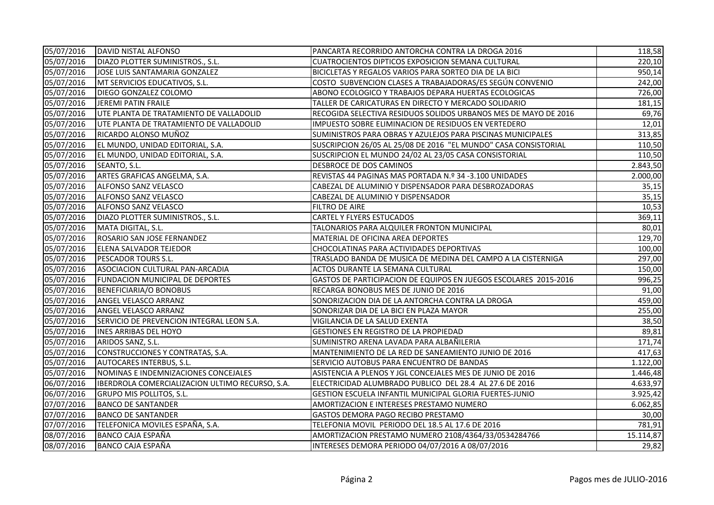| 05/07/2016 | DAVID NISTAL ALFONSO                            | PANCARTA RECORRIDO ANTORCHA CONTRA LA DROGA 2016                 | 118,58    |
|------------|-------------------------------------------------|------------------------------------------------------------------|-----------|
| 05/07/2016 | DIAZO PLOTTER SUMINISTROS., S.L.                | <b>CUATROCIENTOS DIPTICOS EXPOSICION SEMANA CULTURAL</b>         | 220,10    |
| 05/07/2016 | JOSE LUIS SANTAMARIA GONZALEZ                   | BICICLETAS Y REGALOS VARIOS PARA SORTEO DIA DE LA BICI           | 950,14    |
| 05/07/2016 | MT SERVICIOS EDUCATIVOS, S.L.                   | COSTO SUBVENCION CLASES A TRABAJADORAS/ES SEGÚN CONVENIO         | 242,00    |
| 05/07/2016 | DIEGO GONZALEZ COLOMO                           | ABONO ECOLOGICO Y TRABAJOS DEPARA HUERTAS ECOLOGICAS             | 726,00    |
| 05/07/2016 | JEREMI PATIN FRAILE                             | TALLER DE CARICATURAS EN DIRECTO Y MERCADO SOLIDARIO             | 181,15    |
| 05/07/2016 | UTE PLANTA DE TRATAMIENTO DE VALLADOLID         | RECOGIDA SELECTIVA RESIDUOS SOLIDOS URBANOS MES DE MAYO DE 2016  | 69,76     |
| 05/07/2016 | UTE PLANTA DE TRATAMIENTO DE VALLADOLID         | IMPUESTO SOBRE ELIMINACION DE RESIDUOS EN VERTEDERO              | 12,01     |
| 05/07/2016 | RICARDO ALONSO MUÑOZ                            | SUMINISTROS PARA OBRAS Y AZULEJOS PARA PISCINAS MUNICIPALES      | 313,85    |
| 05/07/2016 | EL MUNDO, UNIDAD EDITORIAL, S.A.                | SUSCRIPCION 26/05 AL 25/08 DE 2016 "EL MUNDO" CASA CONSISTORIAL  | 110,50    |
| 05/07/2016 | EL MUNDO, UNIDAD EDITORIAL, S.A.                | SUSCRIPCION EL MUNDO 24/02 AL 23/05 CASA CONSISTORIAL            | 110,50    |
| 05/07/2016 | SEANTO, S.L.                                    | DESBROCE DE DOS CAMINOS                                          | 2.843,50  |
| 05/07/2016 | ARTES GRAFICAS ANGELMA, S.A.                    | REVISTAS 44 PAGINAS MAS PORTADA N.º 34-3.100 UNIDADES            | 2.000,00  |
| 05/07/2016 | ALFONSO SANZ VELASCO                            | CABEZAL DE ALUMINIO Y DISPENSADOR PARA DESBROZADORAS             | 35,15     |
| 05/07/2016 | <b>ALFONSO SANZ VELASCO</b>                     | CABEZAL DE ALUMINIO Y DISPENSADOR                                | 35,15     |
| 05/07/2016 | ALFONSO SANZ VELASCO                            | <b>FILTRO DE AIRE</b>                                            | 10,53     |
| 05/07/2016 | DIAZO PLOTTER SUMINISTROS., S.L.                | <b>CARTEL Y FLYERS ESTUCADOS</b>                                 | 369,11    |
| 05/07/2016 | MATA DIGITAL, S.L.                              | TALONARIOS PARA ALQUILER FRONTON MUNICIPAL                       | 80,01     |
| 05/07/2016 | ROSARIO SAN JOSE FERNANDEZ                      | MATERIAL DE OFICINA AREA DEPORTES                                | 129,70    |
| 05/07/2016 | <b>ELENA SALVADOR TEJEDOR</b>                   | CHOCOLATINAS PARA ACTIVIDADES DEPORTIVAS                         | 100,00    |
| 05/07/2016 | <b>PESCADOR TOURS S.L.</b>                      | TRASLADO BANDA DE MUSICA DE MEDINA DEL CAMPO A LA CISTERNIGA     | 297,00    |
| 05/07/2016 | ASOCIACION CULTURAL PAN-ARCADIA                 | ACTOS DURANTE LA SEMANA CULTURAL                                 | 150,00    |
| 05/07/2016 | FUNDACION MUNICIPAL DE DEPORTES                 | GASTOS DE PARTICIPACION DE EQUIPOS EN JUEGOS ESCOLARES 2015-2016 | 996,25    |
| 05/07/2016 | BENEFICIARIA/O BONOBUS                          | RECARGA BONOBUS MES DE JUNIO DE 2016                             | 91,00     |
| 05/07/2016 | ANGEL VELASCO ARRANZ                            | SONORIZACION DIA DE LA ANTORCHA CONTRA LA DROGA                  | 459,00    |
| 05/07/2016 | ANGEL VELASCO ARRANZ                            | SONORIZAR DIA DE LA BICI EN PLAZA MAYOR                          | 255,00    |
| 05/07/2016 | SERVICIO DE PREVENCION INTEGRAL LEON S.A.       | VIGILANCIA DE LA SALUD EXENTA                                    | 38,50     |
| 05/07/2016 | <b>INES ARRIBAS DEL HOYO</b>                    | GESTIONES EN REGISTRO DE LA PROPIEDAD                            | 89,81     |
| 05/07/2016 | ARIDOS SANZ, S.L.                               | SUMINISTRO ARENA LAVADA PARA ALBAÑILERIA                         | 171,74    |
| 05/07/2016 | CONSTRUCCIONES Y CONTRATAS, S.A.                | MANTENIMIENTO DE LA RED DE SANEAMIENTO JUNIO DE 2016             | 417,63    |
| 05/07/2016 | AUTOCARES INTERBUS, S.L.                        | SERVICIO AUTOBUS PARA ENCUENTRO DE BANDAS                        | 1.122,00  |
| 05/07/2016 | NOMINAS E INDEMNIZACIONES CONCEJALES            | ASISTENCIA A PLENOS Y JGL CONCEJALES MES DE JUNIO DE 2016        | 1.446,48  |
| 06/07/2016 | IBERDROLA COMERCIALIZACION ULTIMO RECURSO, S.A. | ELECTRICIDAD ALUMBRADO PUBLICO DEL 28.4 AL 27.6 DE 2016          | 4.633,97  |
| 06/07/2016 | <b>GRUPO MIS POLLITOS, S.L.</b>                 | <b>GESTION ESCUELA INFANTIL MUNICIPAL GLORIA FUERTES-JUNIO</b>   | 3.925,42  |
| 07/07/2016 | <b>BANCO DE SANTANDER</b>                       | AMORTIZACION E INTERESES PRESTAMO NUMERO                         | 6.062,85  |
| 07/07/2016 | <b>BANCO DE SANTANDER</b>                       | GASTOS DEMORA PAGO RECIBO PRESTAMO                               | 30,00     |
| 07/07/2016 | TELEFONICA MOVILES ESPAÑA, S.A.                 | TELEFONIA MOVIL PERIODO DEL 18.5 AL 17.6 DE 2016                 | 781,91    |
| 08/07/2016 | <b>BANCO CAJA ESPAÑA</b>                        | AMORTIZACION PRESTAMO NUMERO 2108/4364/33/0534284766             | 15.114,87 |
| 08/07/2016 | <b>BANCO CAJA ESPAÑA</b>                        | INTERESES DEMORA PERIODO 04/07/2016 A 08/07/2016                 | 29,82     |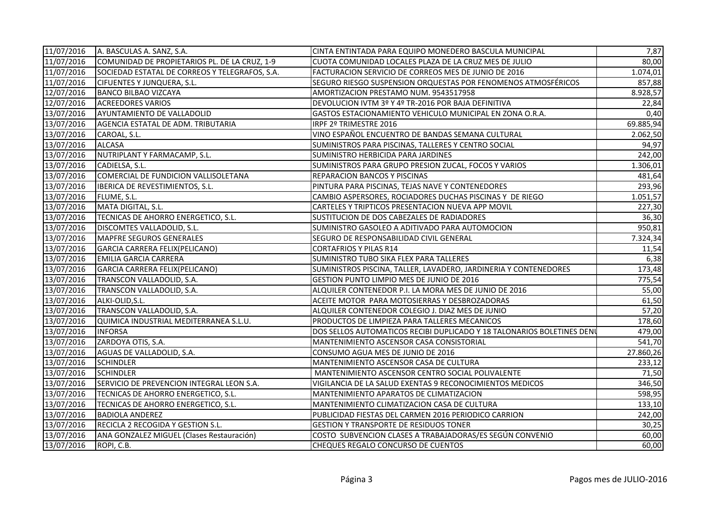| 11/07/2016 | A. BASCULAS A. SANZ, S.A.                      | CINTA ENTINTADA PARA EQUIPO MONEDERO BASCULA MUNICIPAL                 | 7,87      |
|------------|------------------------------------------------|------------------------------------------------------------------------|-----------|
| 11/07/2016 | COMUNIDAD DE PROPIETARIOS PL. DE LA CRUZ, 1-9  | CUOTA COMUNIDAD LOCALES PLAZA DE LA CRUZ MES DE JULIO                  | 80,00     |
| 11/07/2016 | SOCIEDAD ESTATAL DE CORREOS Y TELEGRAFOS, S.A. | FACTURACION SERVICIO DE CORREOS MES DE JUNIO DE 2016                   | 1.074,01  |
| 11/07/2016 | <b>CIFUENTES Y JUNQUERA, S.L.</b>              | SEGURO RIESGO SUSPENSION ORQUESTAS POR FENOMENOS ATMOSFÉRICOS          | 857,88    |
| 12/07/2016 | <b>BANCO BILBAO VIZCAYA</b>                    | AMORTIZACION PRESTAMO NUM. 9543517958                                  | 8.928,57  |
| 12/07/2016 | <b>ACREEDORES VARIOS</b>                       | DEVOLUCION IVTM 3º Y 4º TR-2016 POR BAJA DEFINITIVA                    | 22,84     |
| 13/07/2016 | AYUNTAMIENTO DE VALLADOLID                     | GASTOS ESTACIONAMIENTO VEHICULO MUNICIPAL EN ZONA O.R.A.               | 0,40      |
| 13/07/2016 | AGENCIA ESTATAL DE ADM. TRIBUTARIA             | IRPF 2º TRIMESTRE 2016                                                 | 69.885,94 |
| 13/07/2016 | CAROAL, S.L.                                   | VINO ESPAÑOL ENCUENTRO DE BANDAS SEMANA CULTURAL                       | 2.062,50  |
| 13/07/2016 | <b>ALCASA</b>                                  | SUMINISTROS PARA PISCINAS, TALLERES Y CENTRO SOCIAL                    | 94,97     |
| 13/07/2016 | NUTRIPLANT Y FARMACAMP, S.L.                   | SUMINISTRO HERBICIDA PARA JARDINES                                     | 242,00    |
| 13/07/2016 | CADIELSA, S.L.                                 | SUMINISTROS PARA GRUPO PRESION ZUCAL, FOCOS Y VARIOS                   | 1.306,01  |
| 13/07/2016 | COMERCIAL DE FUNDICION VALLISOLETANA           | <b>REPARACION BANCOS Y PISCINAS</b>                                    | 481,64    |
| 13/07/2016 | IBERICA DE REVESTIMIENTOS, S.L.                | PINTURA PARA PISCINAS, TEJAS NAVE Y CONTENEDORES                       | 293,96    |
| 13/07/2016 | FLUME, S.L.                                    | CAMBIO ASPERSORES, ROCIADORES DUCHAS PISCINAS Y DE RIEGO               | 1.051,57  |
| 13/07/2016 | MATA DIGITAL, S.L.                             | CARTELES Y TRIPTICOS PRESENTACION NUEVA APP MOVIL                      | 227,30    |
| 13/07/2016 | TECNICAS DE AHORRO ENERGETICO, S.L.            | SUSTITUCION DE DOS CABEZALES DE RADIADORES                             | 36,30     |
| 13/07/2016 | DISCOMTES VALLADOLID, S.L.                     | SUMINISTRO GASOLEO A ADITIVADO PARA AUTOMOCION                         | 950,81    |
| 13/07/2016 | MAPFRE SEGUROS GENERALES                       | SEGURO DE RESPONSABILIDAD CIVIL GENERAL                                | 7.324,34  |
| 13/07/2016 | GARCIA CARRERA FELIX(PELICANO)                 | <b>CORTAFRIOS Y PILAS R14</b>                                          | 11,54     |
| 13/07/2016 | EMILIA GARCIA CARRERA                          | SUMINISTRO TUBO SIKA FLEX PARA TALLERES                                | 6,38      |
| 13/07/2016 | GARCIA CARRERA FELIX(PELICANO)                 | SUMINISTROS PISCINA, TALLER, LAVADERO, JARDINERIA Y CONTENEDORES       | 173,48    |
| 13/07/2016 | TRANSCON VALLADOLID, S.A.                      | GESTION PUNTO LIMPIO MES DE JUNIO DE 2016                              | 775,54    |
| 13/07/2016 | TRANSCON VALLADOLID, S.A.                      | ALQUILER CONTENEDOR P.I. LA MORA MES DE JUNIO DE 2016                  | 55,00     |
| 13/07/2016 | ALKI-OLID, S.L.                                | ACEITE MOTOR PARA MOTOSIERRAS Y DESBROZADORAS                          | 61,50     |
| 13/07/2016 | TRANSCON VALLADOLID, S.A.                      | ALQUILER CONTENEDOR COLEGIO J. DIAZ MES DE JUNIO                       | 57,20     |
| 13/07/2016 | QUIMICA INDUSTRIAL MEDITERRANEA S.L.U.         | PRODUCTOS DE LIMPIEZA PARA TALLERES MECANICOS                          | 178,60    |
| 13/07/2016 | <b>INFORSA</b>                                 | DOS SELLOS AUTOMATICOS RECIBI DUPLICADO Y 18 TALONARIOS BOLETINES DENI | 479,00    |
| 13/07/2016 | ZARDOYA OTIS, S.A.                             | MANTENIMIENTO ASCENSOR CASA CONSISTORIAL                               | 541,70    |
| 13/07/2016 | AGUAS DE VALLADOLID, S.A.                      | CONSUMO AGUA MES DE JUNIO DE 2016                                      | 27.860,26 |
| 13/07/2016 | <b>SCHINDLER</b>                               | MANTENIMIENTO ASCENSOR CASA DE CULTURA                                 | 233,12    |
| 13/07/2016 | <b>SCHINDLER</b>                               | MANTENIMIENTO ASCENSOR CENTRO SOCIAL POLIVALENTE                       | 71,50     |
| 13/07/2016 | SERVICIO DE PREVENCION INTEGRAL LEON S.A.      | VIGILANCIA DE LA SALUD EXENTAS 9 RECONOCIMIENTOS MEDICOS               | 346,50    |
| 13/07/2016 | TECNICAS DE AHORRO ENERGETICO, S.L.            | MANTENIMIENTO APARATOS DE CLIMATIZACION                                | 598,95    |
| 13/07/2016 | TECNICAS DE AHORRO ENERGETICO, S.L.            | MANTENIMIENTO CLIMATIZACION CASA DE CULTURA                            | 133,10    |
| 13/07/2016 | <b>BADIOLA ANDEREZ</b>                         | PUBLICIDAD FIESTAS DEL CARMEN 2016 PERIODICO CARRION                   | 242,00    |
| 13/07/2016 | RECICLA 2 RECOGIDA Y GESTION S.L.              | <b>GESTION Y TRANSPORTE DE RESIDUOS TONER</b>                          | 30,25     |
| 13/07/2016 | ANA GONZALEZ MIGUEL (Clases Restauración)      | COSTO SUBVENCION CLASES A TRABAJADORAS/ES SEGÚN CONVENIO               | 60,00     |
| 13/07/2016 | ROPI, C.B.                                     | CHEQUES REGALO CONCURSO DE CUENTOS                                     | 60,00     |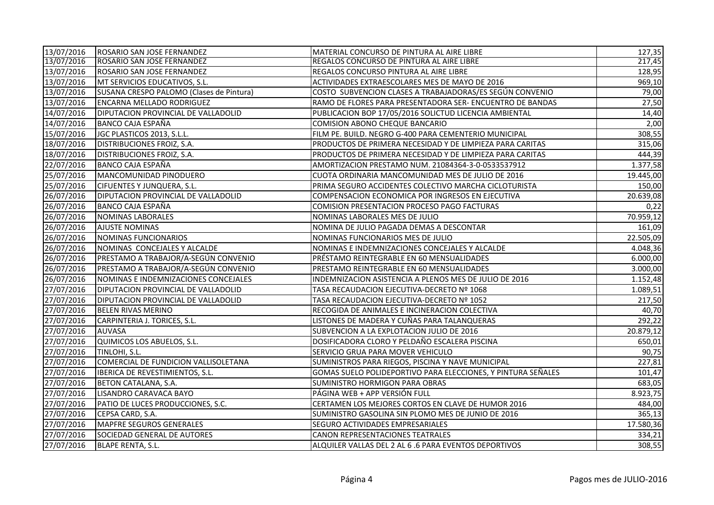| 13/07/2016 | ROSARIO SAN JOSE FERNANDEZ                 | MATERIAL CONCURSO DE PINTURA AL AIRE LIBRE                   | 127,35    |
|------------|--------------------------------------------|--------------------------------------------------------------|-----------|
| 13/07/2016 | ROSARIO SAN JOSE FERNANDEZ                 | REGALOS CONCURSO DE PINTURA AL AIRE LIBRE                    | 217,45    |
| 13/07/2016 | ROSARIO SAN JOSE FERNANDEZ                 | REGALOS CONCURSO PINTURA AL AIRE LIBRE                       | 128,95    |
| 13/07/2016 | MT SERVICIOS EDUCATIVOS, S.L.              | ACTIVIDADES EXTRAESCOLARES MES DE MAYO DE 2016               | 969,10    |
| 13/07/2016 | SUSANA CRESPO PALOMO (Clases de Pintura)   | COSTO SUBVENCION CLASES A TRABAJADORAS/ES SEGÚN CONVENIO     | 79,00     |
| 13/07/2016 | <b>ENCARNA MELLADO RODRIGUEZ</b>           | RAMO DE FLORES PARA PRESENTADORA SER- ENCUENTRO DE BANDAS    | 27,50     |
| 14/07/2016 | DIPUTACION PROVINCIAL DE VALLADOLID        | PUBLICACION BOP 17/05/2016 SOLICTUD LICENCIA AMBIENTAL       | 14,40     |
| 14/07/2016 | BANCO CAJA ESPAÑA                          | COMISION ABONO CHEQUE BANCARIO                               | 2,00      |
| 15/07/2016 | JGC PLASTICOS 2013, S.L.L.                 | FILM PE. BUILD. NEGRO G-400 PARA CEMENTERIO MUNICIPAL        | 308,55    |
| 18/07/2016 | DISTRIBUCIONES FROIZ, S.A.                 | PRODUCTOS DE PRIMERA NECESIDAD Y DE LIMPIEZA PARA CARITAS    | 315,06    |
| 18/07/2016 | DISTRIBUCIONES FROIZ, S.A.                 | PRODUCTOS DE PRIMERA NECESIDAD Y DE LIMPIEZA PARA CARITAS    | 444,39    |
| 22/07/2016 | <b>BANCO CAJA ESPAÑA</b>                   | AMORTIZACION PRESTAMO NUM. 21084364-3-0-0533537912           | 1.377,58  |
| 25/07/2016 | MANCOMUNIDAD PINODUERO                     | CUOTA ORDINARIA MANCOMUNIDAD MES DE JULIO DE 2016            | 19.445,00 |
| 25/07/2016 | <b>CIFUENTES Y JUNQUERA, S.L.</b>          | PRIMA SEGURO ACCIDENTES COLECTIVO MARCHA CICLOTURISTA        | 150,00    |
| 26/07/2016 | <b>DIPUTACION PROVINCIAL DE VALLADOLID</b> | COMPENSACION ECONOMICA POR INGRESOS EN EJECUTIVA             | 20.639,08 |
| 26/07/2016 | <b>BANCO CAJA ESPAÑA</b>                   | COMISION PRESENTACION PROCESO PAGO FACTURAS                  | 0,22      |
| 26/07/2016 | NOMINAS LABORALES                          | NOMINAS LABORALES MES DE JULIO                               | 70.959,12 |
| 26/07/2016 | <b>AJUSTE NOMINAS</b>                      | NOMINA DE JULIO PAGADA DEMAS A DESCONTAR                     | 161,09    |
| 26/07/2016 | NOMINAS FUNCIONARIOS                       | NOMINAS FUNCIONARIOS MES DE JULIO                            | 22.505,09 |
| 26/07/2016 | NOMINAS CONCEJALES Y ALCALDE               | NOMINAS E INDEMNIZACIONES CONCEJALES Y ALCALDE               | 4.048,36  |
| 26/07/2016 | PRESTAMO A TRABAJOR/A-SEGÚN CONVENIO       | PRÉSTAMO REINTEGRABLE EN 60 MENSUALIDADES                    | 6.000,00  |
| 26/07/2016 | PRESTAMO A TRABAJOR/A-SEGÚN CONVENIO       | PRESTAMO REINTEGRABLE EN 60 MENSUALIDADES                    | 3.000,00  |
| 26/07/2016 | NOMINAS E INDEMNIZACIONES CONCEJALES       | INDEMNIZACION ASISTENCIA A PLENOS MES DE JULIO DE 2016       | 1.152,48  |
| 27/07/2016 | DIPUTACION PROVINCIAL DE VALLADOLID        | TASA RECAUDACION EJECUTIVA-DECRETO Nº 1068                   | 1.089,51  |
| 27/07/2016 | <b>DIPUTACION PROVINCIAL DE VALLADOLID</b> | TASA RECAUDACION EJECUTIVA-DECRETO Nº 1052                   | 217,50    |
| 27/07/2016 | <b>BELEN RIVAS MERINO</b>                  | RECOGIDA DE ANIMALES E INCINERACION COLECTIVA                | 40,70     |
| 27/07/2016 | CARPINTERIA J. TORICES, S.L.               | LISTONES DE MADERA Y CUÑAS PARA TALANQUERAS                  | 292,22    |
| 27/07/2016 | <b>AUVASA</b>                              | SUBVENCION A LA EXPLOTACION JULIO DE 2016                    | 20.879,12 |
| 27/07/2016 | QUIMICOS LOS ABUELOS, S.L.                 | DOSIFICADORA CLORO Y PELDAÑO ESCALERA PISCINA                | 650,01    |
| 27/07/2016 | TINLOHI, S.L.                              | SERVICIO GRUA PARA MOVER VEHICULO                            | 90,75     |
| 27/07/2016 | COMERCIAL DE FUNDICION VALLISOLETANA       | SUMINISTROS PARA RIEGOS, PISCINA Y NAVE MUNICIPAL            | 227,81    |
| 27/07/2016 | IBERICA DE REVESTIMIENTOS, S.L.            | GOMAS SUELO POLIDEPORTIVO PARA ELECCIONES, Y PINTURA SEÑALES | 101,47    |
| 27/07/2016 | BETON CATALANA, S.A.                       | SUMINISTRO HORMIGON PARA OBRAS                               | 683,05    |
| 27/07/2016 | LISANDRO CARAVACA BAYO                     | PÁGINA WEB + APP VERSIÓN FULL                                | 8.923,75  |
| 27/07/2016 | PATIO DE LUCES PRODUCCIONES, S.C.          | CERTAMEN LOS MEJORES CORTOS EN CLAVE DE HUMOR 2016           | 484,00    |
| 27/07/2016 | CEPSA CARD, S.A.                           | SUMINISTRO GASOLINA SIN PLOMO MES DE JUNIO DE 2016           | 365,13    |
| 27/07/2016 | MAPFRE SEGUROS GENERALES                   | SEGURO ACTIVIDADES EMPRESARIALES                             | 17.580,36 |
| 27/07/2016 | SOCIEDAD GENERAL DE AUTORES                | <b>CANON REPRESENTACIONES TEATRALES</b>                      | 334,21    |
| 27/07/2016 | <b>BLAPE RENTA, S.L.</b>                   | ALQUILER VALLAS DEL 2 AL 6 .6 PARA EVENTOS DEPORTIVOS        | 308,55    |